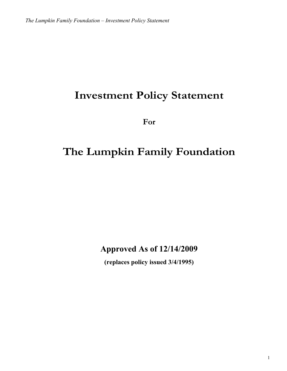# **Investment Policy Statement**

**For**

# **The Lumpkin Family Foundation**

**Approved As of 12/14/2009**

**(replaces policy issued 3/4/1995)**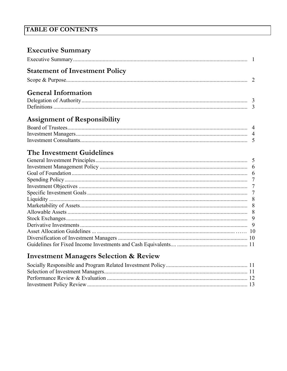## **TABLE OF CONTENTS**

| <b>Executive Summary</b>                                                                                                                                                                                                                                                                                                            |  |
|-------------------------------------------------------------------------------------------------------------------------------------------------------------------------------------------------------------------------------------------------------------------------------------------------------------------------------------|--|
|                                                                                                                                                                                                                                                                                                                                     |  |
| <b>Statement of Investment Policy</b>                                                                                                                                                                                                                                                                                               |  |
|                                                                                                                                                                                                                                                                                                                                     |  |
| <b>General Information</b>                                                                                                                                                                                                                                                                                                          |  |
|                                                                                                                                                                                                                                                                                                                                     |  |
|                                                                                                                                                                                                                                                                                                                                     |  |
| <b>Assignment of Responsibility</b>                                                                                                                                                                                                                                                                                                 |  |
|                                                                                                                                                                                                                                                                                                                                     |  |
|                                                                                                                                                                                                                                                                                                                                     |  |
|                                                                                                                                                                                                                                                                                                                                     |  |
| $\mathbf{T}^{1}$ $\mathbf{I}$ $\mathbf{I}$ $\mathbf{I}$ $\mathbf{I}$ $\mathbf{I}$ $\mathbf{I}$ $\mathbf{I}$ $\mathbf{I}$ $\mathbf{I}$ $\mathbf{I}$ $\mathbf{I}$ $\mathbf{I}$ $\mathbf{I}$ $\mathbf{I}$ $\mathbf{I}$ $\mathbf{I}$ $\mathbf{I}$ $\mathbf{I}$ $\mathbf{I}$ $\mathbf{I}$ $\mathbf{I}$ $\mathbf{I}$ $\mathbf{I}$ $\math$ |  |

## The Investment Guidelines

## **Investment Managers Selection & Review**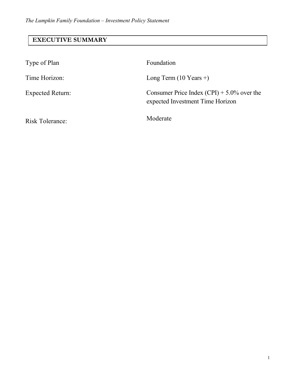## **EXECUTIVE SUMMARY**

| Type of Plan            | Foundation                                                                        |
|-------------------------|-----------------------------------------------------------------------------------|
| Time Horizon:           | Long Term $(10$ Years +)                                                          |
| <b>Expected Return:</b> | Consumer Price Index $(CPI) + 5.0\%$ over the<br>expected Investment Time Horizon |
| <b>Risk Tolerance:</b>  | Moderate                                                                          |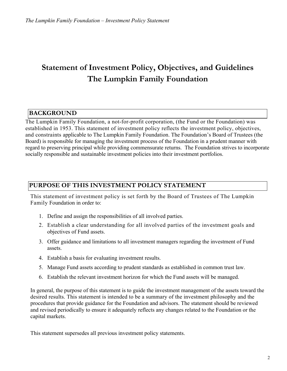## **Statement of Investment Policy, Objectives, and Guidelines The Lumpkin Family Foundation**

### **BACKGROUND**

The Lumpkin Family Foundation, a not-for-profit corporation, (the Fund or the Foundation) was established in 1953. This statement of investment policy reflects the investment policy, objectives, and constraints applicable to The Lumpkin Family Foundation. The Foundation's Board of Trustees (the Board) is responsible for managing the investment process of the Foundation in a prudent manner with regard to preserving principal while providing commensurate returns. The Foundation strives to incorporate socially responsible and sustainable investment policies into their investment portfolios.

#### **PURPOSE OF THIS INVESTMENT POLICY STATEMENT**

This statement of investment policy is set forth by the Board of Trustees of The Lumpkin Family Foundation in order to:

- 1. Define and assign the responsibilities of all involved parties.
- 2. Establish a clear understanding for all involved parties of the investment goals and objectives of Fund assets.
- 3. Offer guidance and limitations to all investment managers regarding the investment of Fund assets.
- 4. Establish a basis for evaluating investment results.
- 5. Manage Fund assets according to prudent standards as established in common trust law.
- 6. Establish the relevant investment horizon for which the Fund assets will be managed.

In general, the purpose of this statement is to guide the investment management of the assets toward the desired results. This statement is intended to be a summary of the investment philosophy and the procedures that provide guidance for the Foundation and advisors. The statement should be reviewed and revised periodically to ensure it adequately reflects any changes related to the Foundation or the capital markets.

This statement supersedes all previous investment policy statements.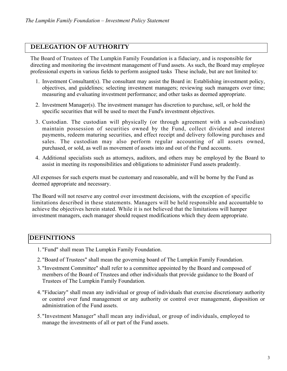#### **DELEGATION OF AUTHORITY**

The Board of Trustees of The Lumpkin Family Foundation is a fiduciary, and is responsible for directing and monitoring the investment management of Fund assets. As such, the Board may employee professional experts in various fields to perform assigned tasks These include, but are not limited to:

- 1. Investment Consultant(s). The consultant may assist the Board in: Establishing investment policy, objectives, and guidelines; selecting investment managers; reviewing such managers over time; measuring and evaluating investment performance; and other tasks as deemed appropriate.
- 2. Investment Manager(s). The investment manager has discretion to purchase, sell, or hold the specific securities that will be used to meet the Fund's investment objectives.
- 3. Custodian. The custodian will physically (or through agreement with a sub-custodian) maintain possession of securities owned by the Fund, collect dividend and interest payments, redeem maturing securities, and effect receipt and delivery following purchases and sales. The custodian may also perform regular accounting of all assets owned, purchased, or sold, as well as movement of assets into and out of the Fund accounts.
- 4. Additional specialists such as attorneys, auditors, and others may be employed by the Board to assist in meeting its responsibilities and obligations to administer Fund assets prudently.

All expenses for such experts must be customary and reasonable, and will be borne by the Fund as deemed appropriate and necessary.

The Board will not reserve any control over investment decisions, with the exception of specific limitations described in these statements. Managers will be held responsible and accountable to achieve the objectives herein stated. While it is not believed that the limitations will hamper investment managers, each manager should request modifications which they deem appropriate.

#### **DEFINITIONS**

- 1. "Fund" shall mean The Lumpkin Family Foundation.
- 2. "Board of Trustees" shall mean the governing board of The Lumpkin Family Foundation.
- 3. "Investment Committee" shall refer to a committee appointed by the Board and composed of members of the Board of Trustees and other individuals that provide guidance to the Board of Trustees of The Lumpkin Family Foundation.
- 4. "Fiduciary" shall mean any individual or group of individuals that exercise discretionary authority or control over fund management or any authority or control over management, disposition or administration of the Fund assets.
- 5. "Investment Manager" shall mean any individual, or group of individuals, employed to manage the investments of all or part of the Fund assets.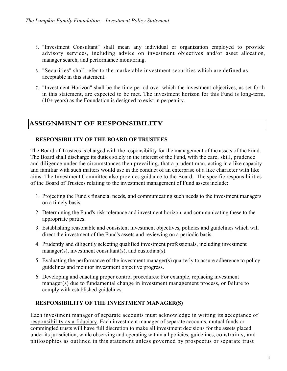- 5. "Investment Consultant" shall mean any individual or organization employed to provide advisory services, including advice on investment objectives and/or asset allocation, manager search, and performance monitoring.
- 6. "Securities" shall refer to the marketable investment securities which are defined as acceptable in this statement.
- 7. "Investment Horizon" shall be the time period over which the investment objectives, as set forth in this statement, are expected to be met. The investment horizon for this Fund is long-term, (10+ years) as the Foundation is designed to exist in perpetuity.

### **ASSIGNMENT OF RESPONSIBILITY**

#### **RESPONSIBILITY OF THE BOARD OF TRUSTEES**

The Board of Trustees is charged with the responsibility for the management of the assets of the Fund. The Board shall discharge its duties solely in the interest of the Fund, with the care, skill, prudence and diligence under the circumstances then prevailing, that a prudent man, acting in a like capacity and familiar with such matters would use in the conduct of an enterprise of a like character with like aims. The Investment Committee also provides guidance to the Board. The specific responsibilities of the Board of Trustees relating to the investment management of Fund assets include:

- 1. Projecting the Fund's financial needs, and communicating such needs to the investment managers on a timely basis.
- 2. Determining the Fund's risk tolerance and investment horizon, and communicating these to the appropriate parties.
- 3. Establishing reasonable and consistent investment objectives, policies and guidelines which will direct the investment of the Fund's assets and reviewing on a periodic basis.
- 4. Prudently and diligently selecting qualified investment professionals, including investment manager(s), investment consultant(s), and custodian(s).
- 5. Evaluating the performance of the investment manager(s) quarterly to assure adherence to policy guidelines and monitor investment objective progress.
- 6. Developing and enacting proper control procedures: For example, replacing investment manager(s) due to fundamental change in investment management process, or failure to comply with established guidelines.

#### **RESPONSIBILITY OF THE INVESTMENT MANAGER(S)**

Each investment manager of separate accounts must acknowledge in writing its acceptance of responsibility as a fiduciary. Each investment manager of separate accounts, mutual funds or commingled trusts will have full discretion to make all investment decisions for the assets placed under its jurisdiction, while observing and operating within all policies, guidelines, constraints, and philosophies as outlined in this statement unless governed by prospectus or separate trust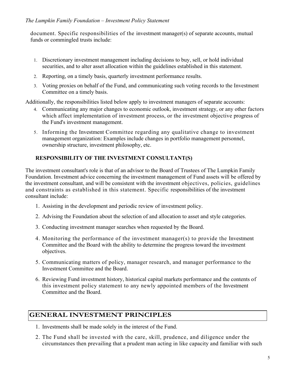document. Specific responsibilities of the investment manager(s) of separate accounts, mutual funds or commingled trusts include:

- 1. Discretionary investment management including decisions to buy, sell, or hold individual securities, and to alter asset allocation within the guidelines established in this statement.
- 2. Reporting, on a timely basis, quarterly investment performance results.
- 3. Voting proxies on behalf of the Fund, and communicating such voting records to the Investment Committee on a timely basis.

Additionally, the responsibilities listed below apply to investment managers of separate accounts:

- 4. Communicating any major changes to economic outlook, investment strategy, or any other factors which affect implementation of investment process, or the investment objective progress of the Fund's investment management.
- 5. Informing the Investment Committee regarding any qualitative change to investment management organization: Examples include changes in portfolio management personnel, ownership structure, investment philosophy, etc.

#### **RESPONSIBILITY OF THE INVESTMENT CONSULTANT(S)**

The investment consultant's role is that of an advisor to the Board of Trustees of The Lumpkin Family Foundation. Investment advice concerning the investment management of Fund assets will be offered by the investment consultant, and will be consistent with the investment objectives, policies, guidelines and constraints as established in this statement. Specific responsibilities of the investment consultant include:

- 1. Assisting in the development and periodic review of investment policy.
- 2. Advising the Foundation about the selection of and allocation to asset and style categories.
- 3. Conducting investment manager searches when requested by the Board.
- 4. Monitoring the performance of the investment manager(s) to provide the Investment Committee and the Board with the ability to determine the progress toward the investment objectives.
- 5. Communicating matters of policy, manager research, and manager performance to the Investment Committee and the Board.
- 6. Reviewing Fund investment history, historical capital markets performance and the contents of this investment policy statement to any newly appointed members of the Investment Committee and the Board.

#### **GENERAL INVESTMENT PRINCIPLES**

- 1. Investments shall be made solely in the interest of the Fund.
- 2. The Fund shall be invested with the care, skill, prudence, and diligence under the circumstances then prevailing that a prudent man acting in like capacity and familiar with such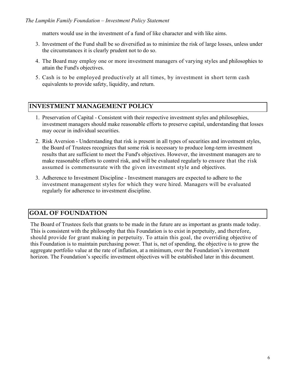#### *The Lumpkin Family Foundation – Investment Policy Statement*

matters would use in the investment of a fund of like character and with like aims.

- 3. Investment of the Fund shall be so diversified as to minimize the risk of large losses, unless under the circumstances it is clearly prudent not to do so.
- 4. The Board may employ one or more investment managers of varying styles and philosophies to attain the Fund's objectives.
- 5. Cash is to be employed productively at all times, by investment in short term cash equivalents to provide safety, liquidity, and return.

#### **INVESTMENT MANAGEMENT POLICY**

- 1. Preservation of Capital Consistent with their respective investment styles and philosophies, investment managers should make reasonable efforts to preserve capital, understanding that losses may occur in individual securities.
- 2. Risk Aversion Understanding that risk is present in all types of securities and investment styles, the Board of Trustees recognizes that some risk is necessary to produce long-term investment results that are sufficient to meet the Fund's objectives. However, the investment managers are to make reasonable efforts to control risk, and will be evaluated regularly to ensure that the risk assumed is commensurate with the given investment style and objectives.
- 3. Adherence to Investment Discipline Investment managers are expected to adhere to the investment management styles for which they were hired. Managers will be evaluated regularly for adherence to investment discipline.

#### **GOAL OF FOUNDATION**

The Board of Trustees feels that grants to be made in the future are as important as grants made today. This is consistent with the philosophy that this Foundation is to exist in perpetuity, and therefore, should provide for grant making in perpetuity. To attain this goal, the overriding objective of this Foundation is to maintain purchasing power. That is, net of spending, the objective is to grow the aggregate portfolio value at the rate of inflation, at a minimum, over the Foundation's investment horizon. The Foundation's specific investment objectives will be established later in this document.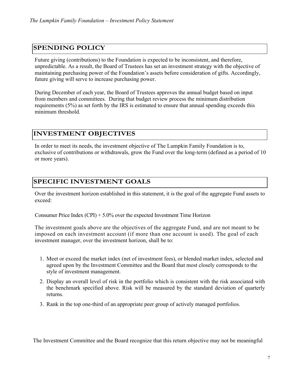#### **SPENDING POLICY**

Future giving (contributions) to the Foundation is expected to be inconsistent, and therefore, unpredictable. As a result, the Board of Trustees has set an investment strategy with the objective of maintaining purchasing power of the Foundation's assets before consideration of gifts. Accordingly, future giving will serve to increase purchasing power.

During December of each year, the Board of Trustees approves the annual budget based on input from members and committees. During that budget review process the minimum distribution requirements (5%) as set forth by the IRS is estimated to ensure that annual spending exceeds this minimum threshold.

### **INVESTMENT OBJECTIVES**

In order to meet its needs, the investment objective of The Lumpkin Family Foundation is to, exclusive of contributions or withdrawals, grow the Fund over the long-term (defined as a period of 10 or more years).

#### **SPECIFIC INVESTMENT GOALS**

Over the investment horizon established in this statement, it is the goal of the aggregate Fund assets to exceed:

Consumer Price Index  $(CPI) + 5.0\%$  over the expected Investment Time Horizon

The investment goals above are the objectives of the aggregate Fund, and are not meant to be imposed on each investment account (if more than one account is used). The goal of each investment manager, over the investment horizon, shall be to:

- 1. Meet or exceed the market index (net of investment fees), or blended market index, selected and agreed upon by the Investment Committee and the Board that most closely corresponds to the style of investment management.
- 2. Display an overall level of risk in the portfolio which is consistent with the risk associated with the benchmark specified above. Risk will be measured by the standard deviation of quarterly returns.
- 3. Rank in the top one-third of an appropriate peer group of actively managed portfolios.

The Investment Committee and the Board recognize that this return objective may not be meaningful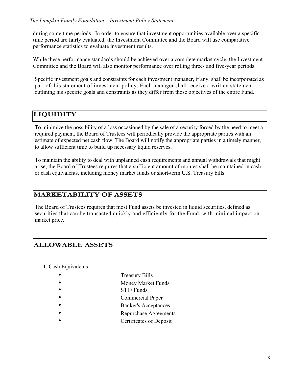during some time periods. In order to ensure that investment opportunities available over a specific time period are fairly evaluated, the Investment Committee and the Board will use comparative performance statistics to evaluate investment results.

While these performance standards should be achieved over a complete market cycle, the Investment Committee and the Board will also monitor performance over rolling three- and five-year periods.

Specific investment goals and constraints for each investment manager, if any, shall be incorporated as part of this statement of investment policy. Each manager shall receive a written statement outlining his specific goals and constraints as they differ from those objectives of the entire Fund.

## **LIQUIDITY**

To minimize the possibility of a loss occasioned by the sale of a security forced by the need to meet a required payment, the Board of Trustees will periodically provide the appropriate parties with an estimate of expected net cash flow. The Board will notify the appropriate parties in a timely manner, to allow sufficient time to build up necessary liquid reserves.

To maintain the ability to deal with unplanned cash requirements and annual withdrawals that might arise, the Board of Trustees requires that a sufficient amount of monies shall be maintained in cash or cash equivalents, including money market funds or short-term U.S. Treasury bills.

## **MARKETABILITY OF ASSETS**

The Board of Trustees requires that most Fund assets be invested in liquid securities, defined as securities that can be transacted quickly and efficiently for the Fund, with minimal impact on market price.

## **ALLOWABLE ASSETS**

1. Cash Equivalents

- Treasury Bills
- Money Market Funds
- STIF Funds
- Commercial Paper
- Banker's Acceptances
- Repurchase Agreements
- Certificates of Deposit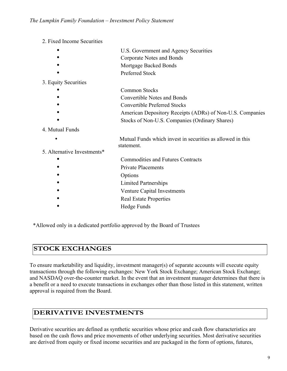- 2. Fixed Income Securities
	- U.S. Government and Agency Securities
	- Corporate Notes and Bonds
	- Mortgage Backed Bonds
	- Preferred Stock

#### 3. Equity Securities

- Common Stocks
- Convertible Notes and Bonds
- Convertible Preferred Stocks
- **American Depository Receipts (ADRs) of Non-U.S. Companies** 
	- Stocks of Non-U.S. Companies (Ordinary Shares)

#### 4. Mutual Funds

- Mutual Funds which invest in securities as allowed in this statement.
- 5. Alternative Investments\*
	- Commodities and Futures Contracts
	- Private Placements
	- **Options**
	- Limited Partnerships
	- Venture Capital Investments
	- Real Estate Properties
	- Hedge Funds

\*Allowed only in a dedicated portfolio approved by the Board of Trustees

## **STOCK EXCHANGES**

To ensure marketability and liquidity, investment manager(s) of separate accounts will execute equity transactions through the following exchanges: New York Stock Exchange; American Stock Exchange; and NASDAQ over-the-counter market. In the event that an investment manager determines that there is a benefit or a need to execute transactions in exchanges other than those listed in this statement, written approval is required from the Board.

#### **DERIVATIVE INVESTMENTS**

Derivative securities are defined as synthetic securities whose price and cash flow characteristics are based on the cash flows and price movements of other underlying securities. Most derivative securities are derived from equity or fixed income securities and are packaged in the form of options, futures,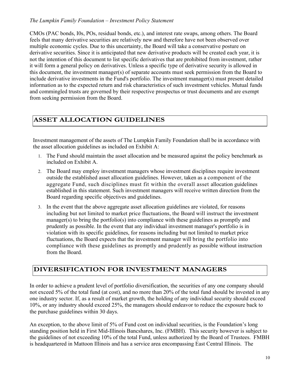#### *The Lumpkin Family Foundation – Investment Policy Statement*

CMOs (PAC bonds, I0s, POs, residual bonds, etc.), and interest rate swaps, among others. The Board feels that many derivative securities are relatively new and therefore have not been observed over multiple economic cycles. Due to this uncertainty, the Board will take a conservative posture on derivative securities. Since it is anticipated that new derivative products will be created each year, it is not the intention of this document to list specific derivatives that are prohibited from investment, rather it will form a general policy on derivatives. Unless a specific type of derivative security is allowed in this document, the investment manager(s) of separate accounts must seek permission from the Board to include derivative investments in the Fund's portfolio. The investment manager(s) must present detailed information as to the expected return and risk characteristics of such investment vehicles. Mutual funds and commingled trusts are governed by their respective prospectus or trust documents and are exempt from seeking permission from the Board.

## **ASSET ALLOCATION GUIDELINES**

Investment management of the assets of The Lumpkin Family Foundation shall be in accordance with the asset allocation guidelines as included on Exhibit A:

- 1. The Fund should maintain the asset allocation and be measured against the policy benchmark as included on Exhibit A.
- 2. The Board may employ investment managers whose investment disciplines require investment outside the established asset allocation guidelines. However, taken as a component of the aggregate Fund, such disciplines must fit within the overall asset allocation guidelines established in this statement. Such investment managers will receive written direction from the Board regarding specific objectives and guidelines.
- 3. In the event that the above aggregate asset allocation guidelines are violated, for reasons including but not limited to market price fluctuations, the Board will instruct the investment manager(s) to bring the portfolio(s) into compliance with these guidelines as promptly and prudently as possible. In the event that any individual investment manager's portfolio is in violation with its specific guidelines, for reasons including but not limited to market price fluctuations, the Board expects that the investment manager will bring the portfolio into compliance with these guidelines as promptly and prudently as possible without instruction from the Board.

## **DIVERSIFICATION FOR INVESTMENT MANAGERS**

In order to achieve a prudent level of portfolio diversification, the securities of any one company should not exceed 5% of the total fund (at cost), and no more than 20% of the total fund should be invested in any one industry sector. If, as a result of market growth, the holding of any individual security should exceed 10%, or any industry should exceed 25%, the managers should endeavor to reduce the exposure back to the purchase guidelines within 30 days.

An exception, to the above limit of 5% of Fund cost on individual securities, is the Foundation's long standing position held in First Mid-Illinois Bancshares, Inc. (FMBH). This security however is subject to the guidelines of not exceeding 10% of the total Fund, unless authorized by the Board of Trustees. FMBH is headquartered in Mattoon Illinois and has a service area encompassing East Central Illinois. The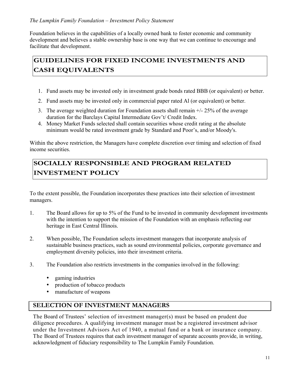#### *The Lumpkin Family Foundation – Investment Policy Statement*

Foundation believes in the capabilities of a locally owned bank to foster economic and community development and believes a stable ownership base is one way that we can continue to encourage and facilitate that development.

## **GUIDELINES FOR FIXED INCOME INVESTMENTS AND CASH EQUIVALENTS**

- 1. Fund assets may be invested only in investment grade bonds rated BBB (or equivalent) or better.
- 2. Fund assets may be invested only in commercial paper rated Al (or equivalent) or better.
- 3. The average weighted duration for Foundation assets shall remain +/- 25% of the average duration for the Barclays Capital Intermediate Gov't/ Credit Index.
- 4. Money Market Funds selected shall contain securities whose credit rating at the absolute minimum would be rated investment grade by Standard and Poor's, and/or Moody's.

Within the above restriction, the Managers have complete discretion over timing and selection of fixed income securities.

## **SOCIALLY RESPONSIBLE AND PROGRAM RELATED INVESTMENT POLICY**

To the extent possible, the Foundation incorporates these practices into their selection of investment managers.

- 1. The Board allows for up to 5% of the Fund to be invested in community development investments with the intention to support the mission of the Foundation with an emphasis reflecting our heritage in East Central Illinois.
- 2. When possible, The Foundation selects investment managers that incorporate analysis of sustainable business practices, such as sound environmental policies, corporate governance and employment diversity policies, into their investment criteria.
- 3. The Foundation also restricts investments in the companies involved in the following:
	- gaming industries
	- production of tobacco products
	- manufacture of weapons

#### **SELECTION OF INVESTMENT MANAGERS**

The Board of Trustees' selection of investment manager(s) must be based on prudent due diligence procedures. A qualifying investment manager must be a registered investment advisor under the Investment Advisors Act of 1940, a mutual fund or a bank or insurance company. The Board of Trustees requires that each investment manager of separate accounts provide, in writing, acknowledgment of fiduciary responsibility to The Lumpkin Family Foundation.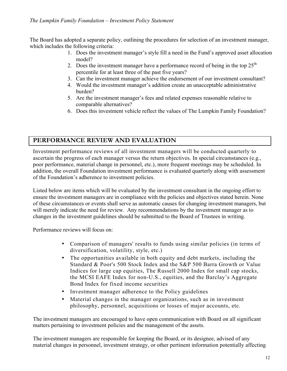The Board has adopted a separate policy, outlining the procedures for selection of an investment manager, which includes the following criteria:

- 1. Does the investment manager's style fill a need in the Fund's approved asset allocation model?
- 2. Does the investment manager have a performance record of being in the top  $25<sup>th</sup>$ percentile for at least three of the past five years?
- 3. Can the investment manager achieve the endorsement of our investment consultant?
- 4. Would the investment manager's addition create an unacceptable administrative burden?
- 5. Are the investment manager's fees and related expenses reasonable relative to comparable alternatives?
- 6. Does this investment vehicle reflect the values of The Lumpkin Family Foundation?

#### **PERFORMANCE REVIEW AND EVALUATION**

Investment performance reviews of all investment managers will be conducted quarterly to ascertain the progress of each manager versus the return objectives. In special circumstances (e.g., poor performance, material change in personnel, etc.), more frequent meetings may be scheduled. In addition, the overall Foundation investment performance is evaluated quarterly along with assessment of the Foundation's adherence to investment policies.

Listed below are items which will be evaluated by the investment consultant in the ongoing effort to ensure the investment managers are in compliance with the policies and objectives stated herein. None of these circumstances or events shall serve as automatic causes for changing investment managers, but will merely indicate the need for review. Any recommendations by the investment manager as to changes in the investment guidelines should be submitted to the Board of Trustees in writing.

Performance reviews will focus on:

- Comparison of managers' results to funds using similar policies (in terms of diversification, volatility, style, etc.)
- The opportunities available in both equity and debt markets, including the Standard & Poor's 500 Stock Index and the S&P 500 Barra Growth or Value Indices for large cap equities, The Russell 2000 Index for small cap stocks, the MCSI EAFE Index for non-U.S., equities, and the Barclay's Aggregate Bond Index for fixed income securities
- Investment manager adherence to the Policy guidelines
- Material changes in the manager organizations, such as in investment philosophy, personnel, acquisitions or losses of major accounts, etc.

The investment managers are encouraged to have open communication with Board on all significant matters pertaining to investment policies and the management of the assets.

The investment managers are responsible for keeping the Board, or its designee, advised of any material changes in personnel, investment strategy, or other pertinent information potentially affecting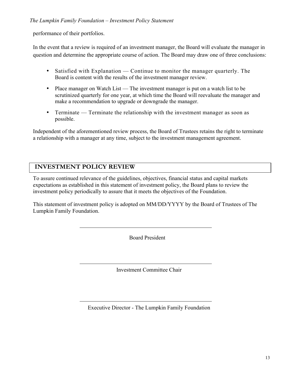performance of their portfolios.

In the event that a review is required of an investment manager, the Board will evaluate the manager in question and determine the appropriate course of action. The Board may draw one of three conclusions:

- Satisfied with Explanation Continue to monitor the manager quarterly. The Board is content with the results of the investment manager review.
- Place manager on Watch List The investment manager is put on a watch list to be scrutinized quarterly for one year, at which time the Board will reevaluate the manager and make a recommendation to upgrade or downgrade the manager.
- Terminate Terminate the relationship with the investment manager as soon as possible.

Independent of the aforementioned review process, the Board of Trustees retains the right to terminate a relationship with a manager at any time, subject to the investment management agreement.

#### **INVESTMENT POLICY REVIEW**

To assure continued relevance of the guidelines, objectives, financial status and capital markets expectations as established in this statement of investment policy, the Board plans to review the investment policy periodically to assure that it meets the objectives of the Foundation.

This statement of investment policy is adopted on MM/DD/YYYY by the Board of Trustees of The Lumpkin Family Foundation.

Board President

Investment Committee Chair

Executive Director - The Lumpkin Family Foundation